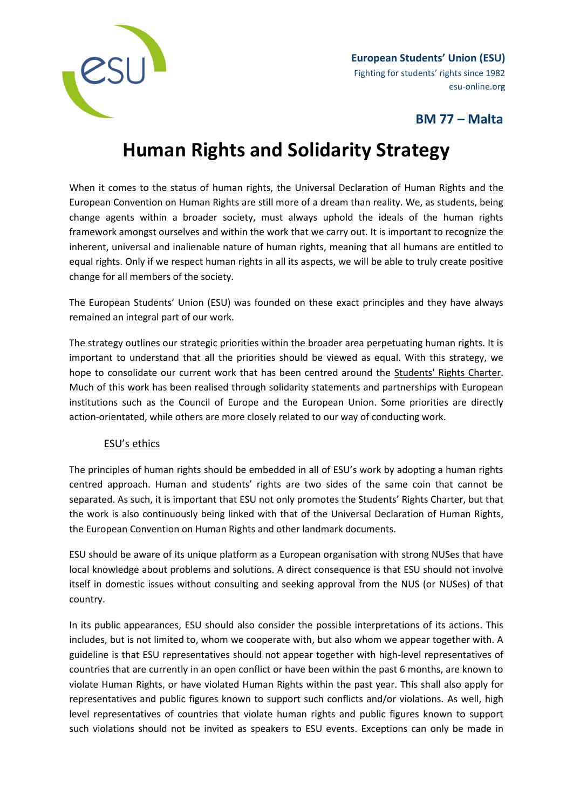

**European Students' Union (ESU)** Fighting for students' rights since 1982 esu-online.org

# **BM 77 – Malta**

# **Human Rights and Solidarity Strategy**

When it comes to the status of human rights, the Universal Declaration of Human Rights and the European Convention on Human Rights are still more of a dream than reality. We, as students, being change agents within a broader society, must always uphold the ideals of the human rights framework amongst ourselves and within the work that we carry out. It is important to recognize the inherent, universal and inalienable nature of human rights, meaning that all humans are entitled to equal rights. Only if we respect human rights in all its aspects, we will be able to truly create positive change for all members of the society.

The European Students' Union (ESU) was founded on these exact principles and they have always remained an integral part of our work.

The strategy outlines our strategic priorities within the broader area perpetuating human rights. It is important to understand that all the priorities should be viewed as equal. With this strategy, we hope to consolidate our current work that has been centred around the [Students' Rights Charter.](https://www.esu-online.org/?policy=students-rights-charter) Much of this work has been realised through solidarity statements and partnerships with European institutions such as the Council of Europe and the European Union. Some priorities are directly action-orientated, while others are more closely related to our way of conducting work.

## ESU's ethics

The principles of human rights should be embedded in all of ESU's work by adopting a human rights centred approach. Human and students' rights are two sides of the same coin that cannot be separated. As such, it is important that ESU not only promotes the Students' Rights Charter, but that the work is also continuously being linked with that of the Universal Declaration of Human Rights, the European Convention on Human Rights and other landmark documents.

ESU should be aware of its unique platform as a European organisation with strong NUSes that have local knowledge about problems and solutions. A direct consequence is that ESU should not involve itself in domestic issues without consulting and seeking approval from the NUS (or NUSes) of that country.

In its public appearances, ESU should also consider the possible interpretations of its actions. This includes, but is not limited to, whom we cooperate with, but also whom we appear together with. A guideline is that ESU representatives should not appear together with high-level representatives of countries that are currently in an open conflict or have been within the past 6 months, are known to violate Human Rights, or have violated Human Rights within the past year. This shall also apply for representatives and public figures known to support such conflicts and/or violations. As well, high level representatives of countries that violate human rights and public figures known to support such violations should not be invited as speakers to ESU events. Exceptions can only be made in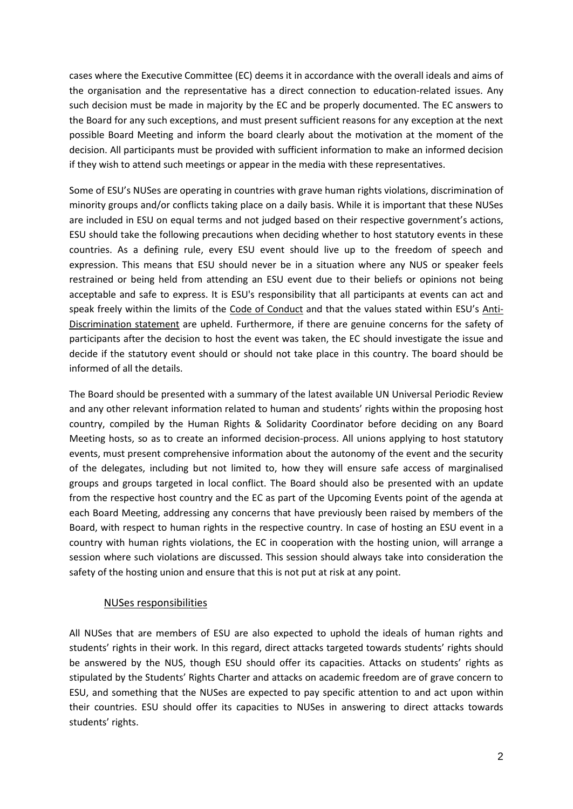cases where the Executive Committee (EC) deems it in accordance with the overall ideals and aims of the organisation and the representative has a direct connection to education-related issues. Any such decision must be made in majority by the EC and be properly documented. The EC answers to the Board for any such exceptions, and must present sufficient reasons for any exception at the next possible Board Meeting and inform the board clearly about the motivation at the moment of the decision. All participants must be provided with sufficient information to make an informed decision if they wish to attend such meetings or appear in the media with these representatives.

Some of ESU's NUSes are operating in countries with grave human rights violations, discrimination of minority groups and/or conflicts taking place on a daily basis. While it is important that these NUSes are included in ESU on equal terms and not judged based on their respective government's actions, ESU should take the following precautions when deciding whether to host statutory events in these countries. As a defining rule, every ESU event should live up to the freedom of speech and expression. This means that ESU should never be in a situation where any NUS or speaker feels restrained or being held from attending an ESU event due to their beliefs or opinions not being acceptable and safe to express. It is ESU's responsibility that all participants at events can act and speak freely within the limits of the [Code of Conduct](https://www.esu-online.org/wp-content/uploads/2015/06/Code-of-conductamended.pdf) and that the values stated within ESU's [Anti-](https://www.esu-online.org/?policy=bm75-anti-discrimination-statement)[Discrimination statement](https://www.esu-online.org/?policy=bm75-anti-discrimination-statement) are upheld. Furthermore, if there are genuine concerns for the safety of participants after the decision to host the event was taken, the EC should investigate the issue and decide if the statutory event should or should not take place in this country. The board should be informed of all the details.

The Board should be presented with a summary of the latest available UN Universal Periodic Review and any other relevant information related to human and students' rights within the proposing host country, compiled by the Human Rights & Solidarity Coordinator before deciding on any Board Meeting hosts, so as to create an informed decision-process. All unions applying to host statutory events, must present comprehensive information about the autonomy of the event and the security of the delegates, including but not limited to, how they will ensure safe access of marginalised groups and groups targeted in local conflict. The Board should also be presented with an update from the respective host country and the EC as part of the Upcoming Events point of the agenda at each Board Meeting, addressing any concerns that have previously been raised by members of the Board, with respect to human rights in the respective country. In case of hosting an ESU event in a country with human rights violations, the EC in cooperation with the hosting union, will arrange a session where such violations are discussed. This session should always take into consideration the safety of the hosting union and ensure that this is not put at risk at any point.

#### NUSes responsibilities

All NUSes that are members of ESU are also expected to uphold the ideals of human rights and students' rights in their work. In this regard, direct attacks targeted towards students' rights should be answered by the NUS, though ESU should offer its capacities. Attacks on students' rights as stipulated by the Students' Rights Charter and attacks on academic freedom are of grave concern to ESU, and something that the NUSes are expected to pay specific attention to and act upon within their countries. ESU should offer its capacities to NUSes in answering to direct attacks towards students' rights.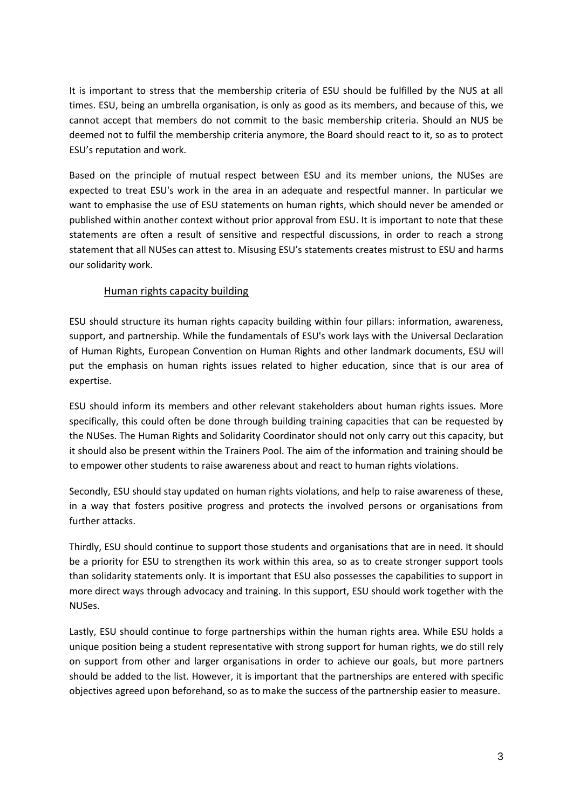It is important to stress that the membership criteria of ESU should be fulfilled by the NUS at all times. ESU, being an umbrella organisation, is only as good as its members, and because of this, we cannot accept that members do not commit to the basic membership criteria. Should an NUS be deemed not to fulfil the membership criteria anymore, the Board should react to it, so as to protect ESU's reputation and work.

Based on the principle of mutual respect between ESU and its member unions, the NUSes are expected to treat ESU's work in the area in an adequate and respectful manner. In particular we want to emphasise the use of ESU statements on human rights, which should never be amended or published within another context without prior approval from ESU. It is important to note that these statements are often a result of sensitive and respectful discussions, in order to reach a strong statement that all NUSes can attest to. Misusing ESU's statements creates mistrust to ESU and harms our solidarity work.

### Human rights capacity building

ESU should structure its human rights capacity building within four pillars: information, awareness, support, and partnership. While the fundamentals of ESU's work lays with the Universal Declaration of Human Rights, European Convention on Human Rights and other landmark documents, ESU will put the emphasis on human rights issues related to higher education, since that is our area of expertise.

ESU should inform its members and other relevant stakeholders about human rights issues. More specifically, this could often be done through building training capacities that can be requested by the NUSes. The Human Rights and Solidarity Coordinator should not only carry out this capacity, but it should also be present within the Trainers Pool. The aim of the information and training should be to empower other students to raise awareness about and react to human rights violations.

Secondly, ESU should stay updated on human rights violations, and help to raise awareness of these, in a way that fosters positive progress and protects the involved persons or organisations from further attacks.

Thirdly, ESU should continue to support those students and organisations that are in need. It should be a priority for ESU to strengthen its work within this area, so as to create stronger support tools than solidarity statements only. It is important that ESU also possesses the capabilities to support in more direct ways through advocacy and training. In this support, ESU should work together with the NUSes.

Lastly, ESU should continue to forge partnerships within the human rights area. While ESU holds a unique position being a student representative with strong support for human rights, we do still rely on support from other and larger organisations in order to achieve our goals, but more partners should be added to the list. However, it is important that the partnerships are entered with specific objectives agreed upon beforehand, so as to make the success of the partnership easier to measure.